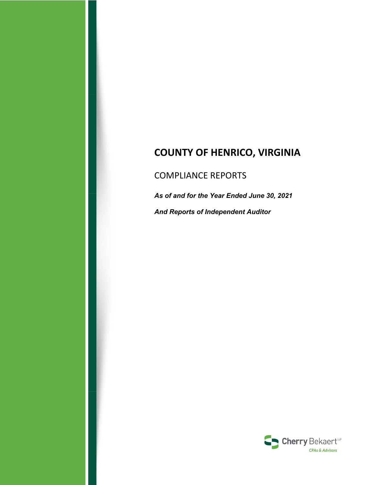# **COUNTY OF HENRICO, VIRGINIA**

## COMPLIANCE REPORTS

*As of and for the Year Ended June 30, 2021*

*And Reports of Independent Auditor*

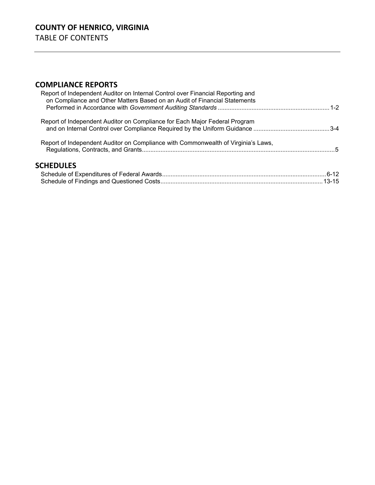### **COMPLIANCE REPORTS**

| Report of Independent Auditor on Internal Control over Financial Reporting and<br>on Compliance and Other Matters Based on an Audit of Financial Statements |  |
|-------------------------------------------------------------------------------------------------------------------------------------------------------------|--|
| Report of Independent Auditor on Compliance for Each Major Federal Program                                                                                  |  |
| Report of Independent Auditor on Compliance with Commonwealth of Virginia's Laws,                                                                           |  |
| <b>SCHEDULES</b>                                                                                                                                            |  |

Schedule of Findings and Questioned Costs ................................................................................................ 13-15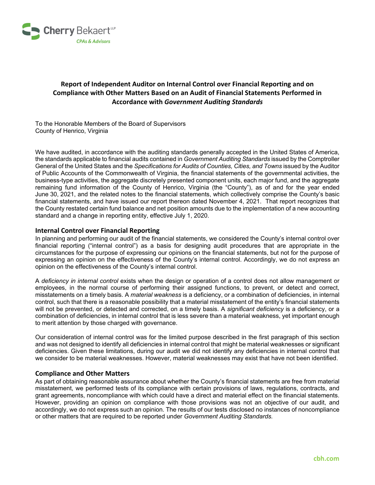

### **Report of Independent Auditor on Internal Control over Financial Reporting and on Compliance with Other Matters Based on an Audit of Financial Statements Performed in Accordance with** *Government Auditing Standards*

To the Honorable Members of the Board of Supervisors County of Henrico, Virginia

We have audited, in accordance with the auditing standards generally accepted in the United States of America, the standards applicable to financial audits contained in *Government Auditing Standards* issued by the Comptroller General of the United States and the *Specifications for Audits of Counties, Cities, and Towns* issued by the Auditor of Public Accounts of the Commonwealth of Virginia, the financial statements of the governmental activities, the business-type activities, the aggregate discretely presented component units, each major fund, and the aggregate remaining fund information of the County of Henrico, Virginia (the "County"), as of and for the year ended June 30, 2021, and the related notes to the financial statements, which collectively comprise the County's basic financial statements, and have issued our report thereon dated November 4, 2021. That report recognizes that the County restated certain fund balance and net position amounts due to the implementation of a new accounting standard and a change in reporting entity, effective July 1, 2020.

### **Internal Control over Financial Reporting**

In planning and performing our audit of the financial statements, we considered the County's internal control over financial reporting ("internal control") as a basis for designing audit procedures that are appropriate in the circumstances for the purpose of expressing our opinions on the financial statements, but not for the purpose of expressing an opinion on the effectiveness of the County's internal control. Accordingly, we do not express an opinion on the effectiveness of the County's internal control.

A *deficiency in internal control* exists when the design or operation of a control does not allow management or employees, in the normal course of performing their assigned functions, to prevent, or detect and correct, misstatements on a timely basis. A *material weakness* is a deficiency, or a combination of deficiencies, in internal control, such that there is a reasonable possibility that a material misstatement of the entity's financial statements will not be prevented, or detected and corrected, on a timely basis. A *significant deficiency* is a deficiency, or a combination of deficiencies, in internal control that is less severe than a material weakness, yet important enough to merit attention by those charged with governance.

Our consideration of internal control was for the limited purpose described in the first paragraph of this section and was not designed to identify all deficiencies in internal control that might be material weaknesses or significant deficiencies. Given these limitations, during our audit we did not identify any deficiencies in internal control that we consider to be material weaknesses. However, material weaknesses may exist that have not been identified.

### **Compliance and Other Matters**

As part of obtaining reasonable assurance about whether the County's financial statements are free from material misstatement, we performed tests of its compliance with certain provisions of laws, regulations, contracts, and grant agreements, noncompliance with which could have a direct and material effect on the financial statements. However, providing an opinion on compliance with those provisions was not an objective of our audit, and accordingly, we do not express such an opinion. The results of our tests disclosed no instances of noncompliance or other matters that are required to be reported under *Government Auditing Standards.*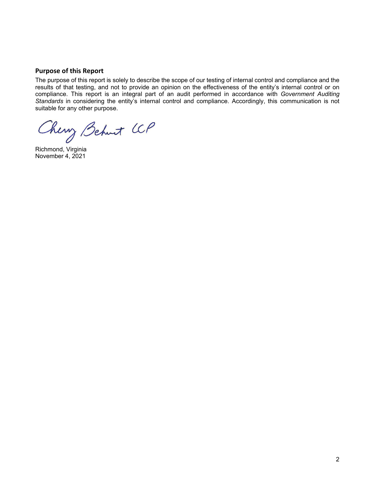### **Purpose of this Report**

The purpose of this report is solely to describe the scope of our testing of internal control and compliance and the results of that testing, and not to provide an opinion on the effectiveness of the entity's internal control or on compliance. This report is an integral part of an audit performed in accordance with *Government Auditing Standards* in considering the entity's internal control and compliance. Accordingly, this communication is not suitable for any other purpose.

Cherry Behmit CCP

Richmond, Virginia November 4, 2021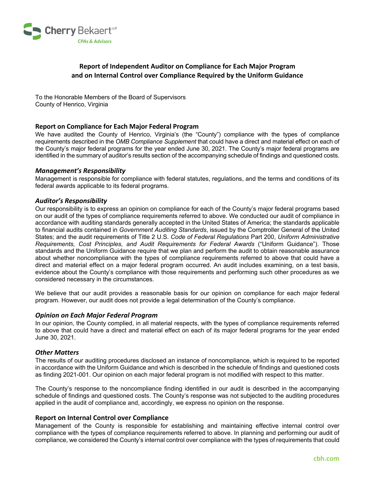

### **Report of Independent Auditor on Compliance for Each Major Program and on Internal Control over Compliance Required by the Uniform Guidance**

To the Honorable Members of the Board of Supervisors County of Henrico, Virginia

### **Report on Compliance for Each Major Federal Program**

We have audited the County of Henrico, Virginia's (the "County") compliance with the types of compliance requirements described in the *OMB Compliance Supplement* that could have a direct and material effect on each of the County's major federal programs for the year ended June 30, 2021. The County's major federal programs are identified in the summary of auditor's results section of the accompanying schedule of findings and questioned costs.

### *Management's Responsibility*

Management is responsible for compliance with federal statutes, regulations, and the terms and conditions of its federal awards applicable to its federal programs.

### *Auditor's Responsibility*

Our responsibility is to express an opinion on compliance for each of the County's major federal programs based on our audit of the types of compliance requirements referred to above. We conducted our audit of compliance in accordance with auditing standards generally accepted in the United States of America; the standards applicable to financial audits contained in *Government Auditing Standards*, issued by the Comptroller General of the United States; and the audit requirements of Title 2 U.S. *Code of Federal Regulations* Part 200, *Uniform Administrative Requirements, Cost Principles, and Audit Requirements for Federal Awards* ("Uniform Guidance"). Those standards and the Uniform Guidance require that we plan and perform the audit to obtain reasonable assurance about whether noncompliance with the types of compliance requirements referred to above that could have a direct and material effect on a major federal program occurred. An audit includes examining, on a test basis, evidence about the County's compliance with those requirements and performing such other procedures as we considered necessary in the circumstances.

We believe that our audit provides a reasonable basis for our opinion on compliance for each major federal program. However, our audit does not provide a legal determination of the County's compliance.

### *Opinion on Each Major Federal Program*

In our opinion, the County complied, in all material respects, with the types of compliance requirements referred to above that could have a direct and material effect on each of its major federal programs for the year ended June 30, 2021.

### *Other Matters*

The results of our auditing procedures disclosed an instance of noncompliance, which is required to be reported in accordance with the Uniform Guidance and which is described in the schedule of findings and questioned costs as finding 2021-001. Our opinion on each major federal program is not modified with respect to this matter.

The County's response to the noncompliance finding identified in our audit is described in the accompanying schedule of findings and questioned costs. The County's response was not subjected to the auditing procedures applied in the audit of compliance and, accordingly, we express no opinion on the response.

### **Report on Internal Control over Compliance**

Management of the County is responsible for establishing and maintaining effective internal control over compliance with the types of compliance requirements referred to above. In planning and performing our audit of compliance, we considered the County's internal control over compliance with the types of requirements that could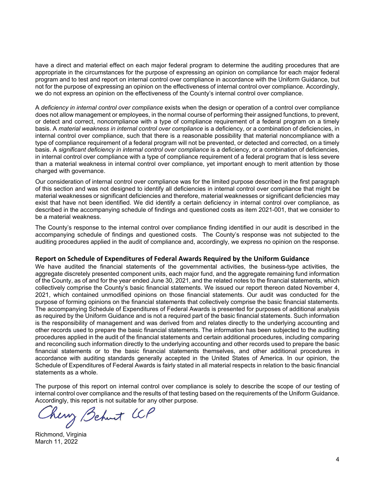have a direct and material effect on each major federal program to determine the auditing procedures that are appropriate in the circumstances for the purpose of expressing an opinion on compliance for each major federal program and to test and report on internal control over compliance in accordance with the Uniform Guidance, but not for the purpose of expressing an opinion on the effectiveness of internal control over compliance. Accordingly, we do not express an opinion on the effectiveness of the County's internal control over compliance.

A *deficiency in internal control over compliance* exists when the design or operation of a control over compliance does not allow management or employees, in the normal course of performing their assigned functions, to prevent, or detect and correct, noncompliance with a type of compliance requirement of a federal program on a timely basis. A *material weakness in internal control over compliance* is a deficiency, or a combination of deficiencies, in internal control over compliance, such that there is a reasonable possibility that material noncompliance with a type of compliance requirement of a federal program will not be prevented, or detected and corrected, on a timely basis. A *significant deficiency in internal control over compliance* is a deficiency, or a combination of deficiencies, in internal control over compliance with a type of compliance requirement of a federal program that is less severe than a material weakness in internal control over compliance, yet important enough to merit attention by those charged with governance.

Our consideration of internal control over compliance was for the limited purpose described in the first paragraph of this section and was not designed to identify all deficiencies in internal control over compliance that might be material weaknesses or significant deficiencies and therefore, material weaknesses or significant deficiencies may exist that have not been identified. We did identify a certain deficiency in internal control over compliance, as described in the accompanying schedule of findings and questioned costs as item 2021-001, that we consider to be a material weakness.

The County's response to the internal control over compliance finding identified in our audit is described in the accompanying schedule of findings and questioned costs. The County's response was not subjected to the auditing procedures applied in the audit of compliance and, accordingly, we express no opinion on the response.

### **Report on Schedule of Expenditures of Federal Awards Required by the Uniform Guidance**

We have audited the financial statements of the governmental activities, the business-type activities, the aggregate discretely presented component units, each major fund, and the aggregate remaining fund information of the County, as of and for the year ended June 30, 2021, and the related notes to the financial statements, which collectively comprise the County's basic financial statements. We issued our report thereon dated November 4, 2021, which contained unmodified opinions on those financial statements. Our audit was conducted for the purpose of forming opinions on the financial statements that collectively comprise the basic financial statements. The accompanying Schedule of Expenditures of Federal Awards is presented for purposes of additional analysis as required by the Uniform Guidance and is not a required part of the basic financial statements. Such information is the responsibility of management and was derived from and relates directly to the underlying accounting and other records used to prepare the basic financial statements. The information has been subjected to the auditing procedures applied in the audit of the financial statements and certain additional procedures, including comparing and reconciling such information directly to the underlying accounting and other records used to prepare the basic financial statements or to the basic financial statements themselves, and other additional procedures in accordance with auditing standards generally accepted in the United States of America. In our opinion, the Schedule of Expenditures of Federal Awards is fairly stated in all material respects in relation to the basic financial statements as a whole.

The purpose of this report on internal control over compliance is solely to describe the scope of our testing of internal control over compliance and the results of that testing based on the requirements of the Uniform Guidance. Accordingly, this report is not suitable for any other purpose.

herry Behaut CCP

Richmond, Virginia March 11, 2022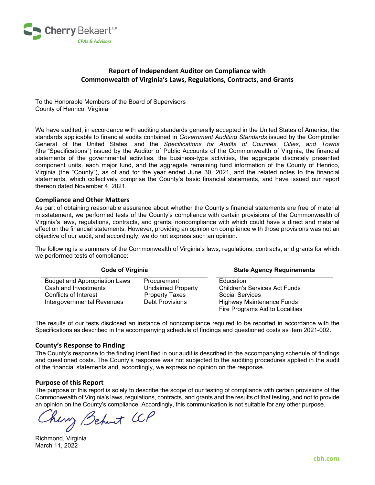

### **Report of Independent Auditor on Compliance with Commonwealth of Virginia's Laws, Regulations, Contracts, and Grants**

To the Honorable Members of the Board of Supervisors County of Henrico, Virginia

We have audited, in accordance with auditing standards generally accepted in the United States of America, the standards applicable to financial audits contained in *Government Auditing Standards* issued by the Comptroller General of the United States, and the *Specifications for Audits of Counties, Cities, and Towns (*the "Specifications") issued by the Auditor of Public Accounts of the Commonwealth of Virginia, the financial statements of the governmental activities, the business-type activities, the aggregate discretely presented component units, each major fund, and the aggregate remaining fund information of the County of Henrico, Virginia (the "County"), as of and for the year ended June 30, 2021, and the related notes to the financial statements, which collectively comprise the County's basic financial statements, and have issued our report thereon dated November 4, 2021.

### **Compliance and Other Matters**

As part of obtaining reasonable assurance about whether the County's financial statements are free of material misstatement, we performed tests of the County's compliance with certain provisions of the Commonwealth of Virginia's laws, regulations, contracts, and grants, noncompliance with which could have a direct and material effect on the financial statements. However, providing an opinion on compliance with those provisions was not an objective of our audit, and accordingly, we do not express such an opinion.

The following is a summary of the Commonwealth of Virginia's laws, regulations, contracts, and grants for which we performed tests of compliance:

### **Code of Virginia Code Code Agency Requirements**

| <b>Budget and Appropriation Laws</b> | Procurement            | Education                       |
|--------------------------------------|------------------------|---------------------------------|
| Cash and Investments                 | Unclaimed Property     | Children's Services Act Funds   |
| Conflicts of Interest                | <b>Property Taxes</b>  | Social Services                 |
| Intergovernmental Revenues           | <b>Debt Provisions</b> | Highway Maintenance Funds       |
|                                      |                        | Fire Programs Aid to Localities |

The results of our tests disclosed an instance of noncompliance required to be reported in accordance with the Specifications as described in the accompanying schedule of findings and questioned costs as item 2021-002.

### **County's Response to Finding**

The County's response to the finding identified in our audit is described in the accompanying schedule of findings and questioned costs. The County's response was not subjected to the auditing procedures applied in the audit of the financial statements and, accordingly, we express no opinion on the response.

### **Purpose of this Report**

The purpose of this report is solely to describe the scope of our testing of compliance with certain provisions of the Commonwealth of Virginia's laws, regulations, contracts, and grants and the results of that testing, and not to provide an opinion on the County's compliance. Accordingly, this communication is not suitable for any other purpose.

herry Behmit CCP

Richmond, Virginia March 11, 2022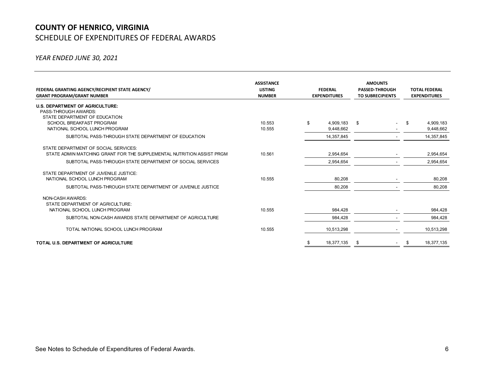| FEDERAL GRANTING AGENCY/RECIPIENT STATE AGENCY/<br><b>GRANT PROGRAM/GRANT NUMBER</b>                                                                                       | <b>ASSISTANCE</b><br><b>LISTING</b><br><b>NUMBER</b> | <b>AMOUNTS</b><br><b>FEDERAL</b><br><b>PASSED-THROUGH</b><br><b>EXPENDITURES</b><br><b>TO SUBRECIPIENTS</b> |                                 | <b>TOTAL FEDERAL</b><br><b>EXPENDITURES</b> |
|----------------------------------------------------------------------------------------------------------------------------------------------------------------------------|------------------------------------------------------|-------------------------------------------------------------------------------------------------------------|---------------------------------|---------------------------------------------|
| <b>U.S. DEPARTMENT OF AGRICULTURE:</b><br><b>PASS-THROUGH AWARDS:</b><br>STATE DEPARTMENT OF EDUCATION:<br>SCHOOL BREAKFAST PROGRAM                                        | 10.553                                               | \$<br>4,909,183                                                                                             | -\$                             | \$<br>4,909,183                             |
| NATIONAL SCHOOL LUNCH PROGRAM                                                                                                                                              | 10.555                                               | 9,448,662                                                                                                   | $\sim$                          | 9,448,662                                   |
| SUBTOTAL PASS-THROUGH STATE DEPARTMENT OF EDUCATION                                                                                                                        |                                                      | 14,357,845                                                                                                  |                                 | 14,357,845                                  |
| STATE DEPARTMENT OF SOCIAL SERVICES:<br>STATE ADMIN MATCHING GRANT FOR THE SUPPLEMENTAL NUTRITION ASSIST PRGM<br>SUBTOTAL PASS-THROUGH STATE DEPARTMENT OF SOCIAL SERVICES | 10.561                                               | 2,954,654<br>2,954,654                                                                                      |                                 | 2,954,654<br>2,954,654                      |
| STATE DEPARTMENT OF JUVENILE JUSTICE:<br>NATIONAL SCHOOL LUNCH PROGRAM<br>SUBTOTAL PASS-THROUGH STATE DEPARTMENT OF JUVENILE JUSTICE                                       | 10.555                                               | 80,208<br>80.208                                                                                            |                                 | 80,208<br>80.208                            |
| NON-CASH AWARDS:<br>STATE DEPARTMENT OF AGRICULTURE:<br>NATIONAL SCHOOL LUNCH PROGRAM                                                                                      | 10.555                                               | 984,428                                                                                                     |                                 | 984,428                                     |
| SUBTOTAL NON-CASH AWARDS STATE DEPARTMENT OF AGRICULTURE                                                                                                                   |                                                      | 984.428                                                                                                     |                                 | 984,428                                     |
| TOTAL NATIONAL SCHOOL LUNCH PROGRAM                                                                                                                                        | 10.555                                               | 10,513,298                                                                                                  |                                 | 10,513,298                                  |
| TOTAL U.S. DEPARTMENT OF AGRICULTURE                                                                                                                                       |                                                      | 18.377.135<br>\$                                                                                            | -\$<br>$\overline{\phantom{a}}$ | 18,377,135<br>- \$                          |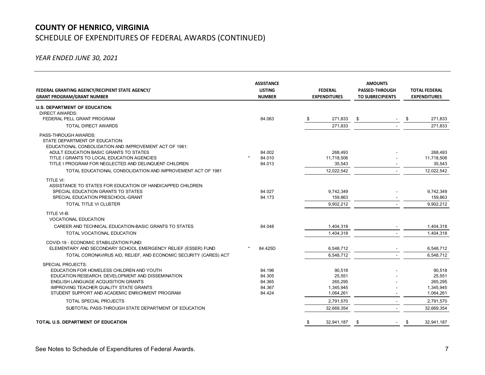| FEDERAL GRANTING AGENCY/RECIPIENT STATE AGENCY/<br><b>GRANT PROGRAM/GRANT NUMBER</b>                                                                                                 | <b>ASSISTANCE</b><br><b>LISTING</b><br><b>NUMBER</b> | <b>FEDERAL</b><br><b>EXPENDITURES</b> |            | <b>AMOUNTS</b><br><b>PASSED-THROUGH</b><br><b>TO SUBRECIPIENTS</b> |     | <b>TOTAL FEDERAL</b><br><b>EXPENDITURES</b> |  |           |
|--------------------------------------------------------------------------------------------------------------------------------------------------------------------------------------|------------------------------------------------------|---------------------------------------|------------|--------------------------------------------------------------------|-----|---------------------------------------------|--|-----------|
| <b>U.S. DEPARTMENT OF EDUCATION:</b>                                                                                                                                                 |                                                      |                                       |            |                                                                    |     |                                             |  |           |
| <b>DIRECT AWARDS:</b>                                                                                                                                                                |                                                      |                                       |            |                                                                    |     |                                             |  |           |
| FEDERAL PELL GRANT PROGRAM                                                                                                                                                           | 84.063                                               | \$                                    | 271,833    | -\$<br>$\sim$                                                      | -\$ | 271,833                                     |  |           |
| <b>TOTAL DIRECT AWARDS</b>                                                                                                                                                           |                                                      |                                       | 271,833    |                                                                    |     | 271,833                                     |  |           |
| PASS-THROUGH AWARDS:<br>STATE DEPARTMENT OF EDUCATION:<br>EDUCATIONAL CONSOLIDATION AND IMPROVEMENT ACT OF 1981:                                                                     |                                                      |                                       |            |                                                                    |     |                                             |  |           |
| ADULT EDUCATION BASIC GRANTS TO STATES                                                                                                                                               | 84.002                                               |                                       | 268,493    |                                                                    |     | 268,493                                     |  |           |
| TITLE I GRANTS TO LOCAL EDUCATION AGENCIES                                                                                                                                           | 84.010                                               |                                       | 11,718,506 |                                                                    |     | 11,718,506                                  |  |           |
| TITLE I PROGRAM FOR NEGLECTED AND DELINQUENT CHILDREN                                                                                                                                | 84.013                                               |                                       | 35,543     |                                                                    |     | 35,543                                      |  |           |
| TOTAL EDUCATIONAL CONSOLIDATION AND IMPROVEMENT ACT OF 1981                                                                                                                          |                                                      |                                       | 12,022,542 |                                                                    |     | 12,022,542                                  |  |           |
| TITLE VI:<br>ASSISTANCE TO STATES FOR EDUCATION OF HANDICAPPED CHILDREN:<br>SPECIAL EDUCATION GRANTS TO STATES<br>SPECIAL EDUCATION PRESCHOOL-GRANT<br><b>TOTAL TITLE VI CLUSTER</b> | 84.027<br>84.173                                     | 9,742,349<br>159.863<br>9.902.212     |            |                                                                    |     | 9,742,349<br>159.863<br>9.902.212           |  |           |
|                                                                                                                                                                                      |                                                      |                                       |            |                                                                    |     |                                             |  |           |
| TITLE VI-B:<br><b>VOCATIONAL EDUCATION:</b>                                                                                                                                          |                                                      |                                       |            |                                                                    |     |                                             |  |           |
| CAREER AND TECHNICAL EDUCATION-BASIC GRANTS TO STATES                                                                                                                                | 84.048                                               |                                       | 1,404,318  |                                                                    |     | 1,404,318                                   |  |           |
| TOTAL VOCATIONAL EDUCATION                                                                                                                                                           |                                                      |                                       | 1,404,318  |                                                                    |     | 1,404,318                                   |  |           |
| COVID-19 - ECONOMIC STABILIZATION FUND:                                                                                                                                              |                                                      |                                       |            |                                                                    |     |                                             |  |           |
| ELEMENTARY AND SECONDARY SCHOOL EMERGENCY RELIEF (ESSER) FUND                                                                                                                        | 84.425D                                              |                                       | 6,548,712  |                                                                    |     | 6,548,712                                   |  |           |
| TOTAL CORONAVIRUS AID, RELIEF, AND ECONOMIC SECURITY (CARES) ACT                                                                                                                     |                                                      |                                       |            | 6,548,712                                                          |     |                                             |  | 6,548,712 |
|                                                                                                                                                                                      |                                                      |                                       |            |                                                                    |     |                                             |  |           |
| <b>SPECIAL PROJECTS:</b>                                                                                                                                                             |                                                      |                                       |            |                                                                    |     |                                             |  |           |
| EDUCATION FOR HOMELESS CHILDREN AND YOUTH                                                                                                                                            | 84.196                                               |                                       | 90,518     |                                                                    |     | 90,518                                      |  |           |
| EDUCATION RESEARCH, DEVELOPMENT AND DISSEMINATION<br><b>ENGLISH LANGUAGE ACQUISITION GRANTS</b>                                                                                      | 84.305<br>84.365                                     | 25,551                                |            |                                                                    |     | 25,551<br>265.295                           |  |           |
| <b>IMPROVING TEACHER QUALITY STATE GRANTS</b>                                                                                                                                        | 84.367                                               | 265,295<br>1,345,945                  |            |                                                                    |     | 1,345,945                                   |  |           |
| STUDENT SUPPORT AND ACADEMIC ENRICHMENT PROGRAM                                                                                                                                      | 84.424                                               | 1,064,261                             |            |                                                                    |     | 1,064,261                                   |  |           |
| TOTAL SPECIAL PROJECTS                                                                                                                                                               |                                                      |                                       | 2,791,570  |                                                                    |     | 2,791,570                                   |  |           |
|                                                                                                                                                                                      |                                                      |                                       |            |                                                                    |     |                                             |  |           |
| SUBTOTAL PASS-THROUGH STATE DEPARTMENT OF EDUCATION                                                                                                                                  |                                                      |                                       | 32,669,354 |                                                                    |     | 32,669,354                                  |  |           |
| TOTAL U.S. DEPARTMENT OF EDUCATION                                                                                                                                                   |                                                      | \$                                    | 32,941,187 | \$<br>$\overline{\phantom{0}}$                                     | \$  | 32,941,187                                  |  |           |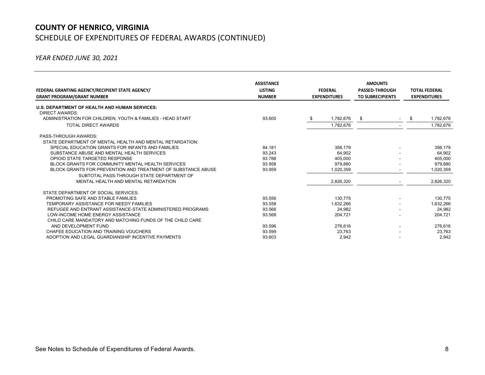|                                                              | <b>ASSISTANCE</b> |                     | <b>AMOUNTS</b>          |                      |  |
|--------------------------------------------------------------|-------------------|---------------------|-------------------------|----------------------|--|
| FEDERAL GRANTING AGENCY/RECIPIENT STATE AGENCY/              | <b>LISTING</b>    | <b>FEDERAL</b>      | <b>PASSED-THROUGH</b>   | <b>TOTAL FEDERAL</b> |  |
| <b>GRANT PROGRAM/GRANT NUMBER</b>                            | <b>NUMBER</b>     | <b>EXPENDITURES</b> | <b>TO SUBRECIPIENTS</b> | <b>EXPENDITURES</b>  |  |
| U.S. DEPARTMENT OF HEALTH AND HUMAN SERVICES:                |                   |                     |                         |                      |  |
| <b>DIRECT AWARDS:</b>                                        |                   |                     |                         |                      |  |
| ADMINISTRATION FOR CHILDREN, YOUTH & FAMILIES - HEAD START   | 93.600            | 1,782,676<br>\$     | - \$<br>$\sim$          | 1,782,676<br>- \$    |  |
| <b>TOTAL DIRECT AWARDS</b>                                   |                   | 1,782,676           |                         | 1,782,676            |  |
| <b>PASS-THROUGH AWARDS:</b>                                  |                   |                     |                         |                      |  |
| STATE DEPARTMENT OF MENTAL HEALTH AND MENTAL RETARDATION:    |                   |                     |                         |                      |  |
| SPECIAL EDUCATION GRANTS FOR INFANTS AND FAMILIES            | 84.181            | 356,179             |                         | 356,179              |  |
| SUBSTANCE ABUSE AND MENTAL HEALTH SERVICES                   | 93.243            | 64.902              |                         | 64,902               |  |
| OPIOID STATE TARGETED RESPONSE                               | 93.788            | 405,000             |                         | 405,000              |  |
| BLOCK GRANTS FOR COMMUNITY MENTAL HEALTH SERVICES            | 93.958            | 979,880             |                         | 979.880              |  |
| BLOCK GRANTS FOR PREVENTION AND TREATMENT OF SUBSTANCE ABUSE | 93.959            | 1.020.359           |                         | 1.020.359            |  |
| SUBTOTAL PASS-THROUGH STATE DEPARTMENT OF                    |                   |                     |                         |                      |  |
| MENTAL HEALTH AND MENTAL RETARDATION                         |                   | 2,826,320           |                         | 2,826,320            |  |
| STATE DEPARTMENT OF SOCIAL SERVICES:                         |                   |                     |                         |                      |  |
| PROMOTING SAFE AND STABLE FAMILIES                           | 93.556            | 130,775             |                         | 130,775              |  |
| TEMPORARY ASSISTANCE FOR NEEDY FAMILIES                      | 93.558            | 1,632,266           |                         | 1,632,266            |  |
| REFUGEE AND ENTRANT ASSISTANCE-STATE ADMINISTERED PROGRAMS   | 93.566            | 24,982              |                         | 24,982               |  |
| LOW-INCOME HOME ENERGY ASSISTANCE                            | 93.568            | 204.721             |                         | 204.721              |  |
| CHILD CARE MANDATORY AND MATCHING FUNDS OF THE CHILD CARE    |                   |                     |                         |                      |  |
| AND DEVELOPMENT FUND                                         | 93.596            | 276,616             |                         | 276,616              |  |
| CHAFEE EDUCATION AND TRAINING VOUCHERS                       | 93.599            | 23,763              |                         | 23,763               |  |
| ADOPTION AND LEGAL GUARDIANSHIP INCENTIVE PAYMENTS           | 93.603            | 2,942               |                         | 2,942                |  |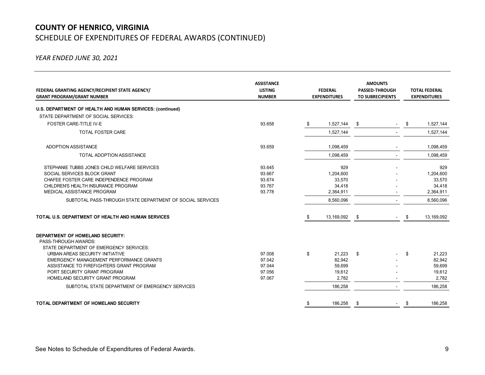|                                                           | <b>ASSISTANCE</b> |                     |                |      | <b>AMOUNTS</b>          |      |                      |
|-----------------------------------------------------------|-------------------|---------------------|----------------|------|-------------------------|------|----------------------|
| FEDERAL GRANTING AGENCY/RECIPIENT STATE AGENCY/           | <b>LISTING</b>    |                     | <b>FEDERAL</b> |      | <b>PASSED-THROUGH</b>   |      | <b>TOTAL FEDERAL</b> |
| <b>GRANT PROGRAM/GRANT NUMBER</b>                         | <b>NUMBER</b>     | <b>EXPENDITURES</b> |                |      | <b>TO SUBRECIPIENTS</b> |      | <b>EXPENDITURES</b>  |
|                                                           |                   |                     |                |      |                         |      |                      |
| U.S. DEPARTMENT OF HEALTH AND HUMAN SERVICES: (continued) |                   |                     |                |      |                         |      |                      |
| STATE DEPARTMENT OF SOCIAL SERVICES:                      |                   |                     |                |      |                         |      |                      |
| <b>FOSTER CARE-TITLE IV-E</b>                             | 93.658            | \$                  | 1,527,144      | - \$ | $\blacksquare$          | - \$ | 1,527,144            |
| TOTAL FOSTER CARE                                         |                   |                     | 1,527,144      |      |                         |      | 1,527,144            |
|                                                           |                   |                     |                |      |                         |      |                      |
| <b>ADOPTION ASSISTANCE</b>                                | 93.659            |                     | 1,098,459      |      |                         |      | 1,098,459            |
| TOTAL ADOPTION ASSISTANCE                                 |                   |                     | 1,098,459      |      | $\blacksquare$          |      | 1,098,459            |
|                                                           |                   |                     |                |      |                         |      |                      |
| STEPHANIE TUBBS JONES CHILD WELFARE SERVICES              | 93.645            |                     | 929            |      |                         |      | 929                  |
| SOCIAL SERVICES BLOCK GRANT                               | 93.667            |                     | 1,204,600      |      |                         |      | 1,204,600            |
| CHAFEE FOSTER CARE INDEPENDENCE PROGRAM                   | 93.674            |                     | 33,570         |      |                         |      | 33,570               |
| CHILDREN'S HEALTH INSURANCE PROGRAM                       | 93.767            |                     | 34,418         |      |                         |      | 34,418               |
| MEDICAL ASSISTANCE PROGRAM                                | 93.778            |                     | 2,364,911      |      |                         |      | 2,364,911            |
| SUBTOTAL PASS-THROUGH STATE DEPARTMENT OF SOCIAL SERVICES |                   |                     | 8,560,096      |      |                         |      | 8,560,096            |
|                                                           |                   |                     |                |      |                         |      |                      |
| TOTAL U.S. DEPARTMENT OF HEALTH AND HUMAN SERVICES        |                   | \$                  | 13,169,092     | -\$  | $\sim$                  | - \$ | 13,169,092           |
| DEPARTMENT OF HOMELAND SECURITY:<br>PASS-THROUGH AWARDS:  |                   |                     |                |      |                         |      |                      |
| STATE DEPARTMENT OF EMERGENCY SERVICES:                   |                   |                     |                |      |                         |      |                      |
| URBAN AREAS SECURITY INITIATIVE                           | 97.008            | \$                  | 21,223         | \$   | $\blacksquare$          | \$   | 21,223               |
| EMERGENCY MANAGEMENT PERFORMANCE GRANTS                   | 97.042            |                     | 82,942         |      |                         |      | 82,942               |
| ASSISTANCE TO FIREFIGHTERS GRANT PROGRAM                  | 97.044            |                     | 59,699         |      |                         |      | 59,699               |
| PORT SECURITY GRANT PROGRAM                               | 97.056            |                     | 19,612         |      |                         |      | 19,612               |
| HOMELAND SECURITY GRANT PROGRAM                           | 97.067            |                     | 2,782          |      |                         |      | 2,782                |
|                                                           |                   |                     |                |      |                         |      |                      |
| SUBTOTAL STATE DEPARTMENT OF EMERGENCY SERVICES           |                   |                     | 186,258        |      | $\blacksquare$          |      | 186,258              |
| TOTAL DEPARTMENT OF HOMELAND SECURITY                     |                   | \$                  | 186,258        | \$   | $\sim$                  | \$   | 186,258              |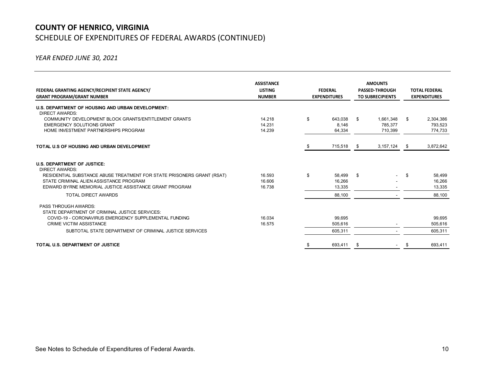| FEDERAL GRANTING AGENCY/RECIPIENT STATE AGENCY/<br><b>GRANT PROGRAM/GRANT NUMBER</b>                                                                                                                                                                                     | <b>ASSISTANCE</b><br><b>LISTING</b><br><b>FEDERAL</b><br><b>NUMBER</b><br><b>EXPENDITURES</b> |    |                                      |     |                                 |      |                                      |  | <b>AMOUNTS</b><br><b>PASSED-THROUGH</b><br><b>TO SUBRECIPIENTS</b> |  | <b>TOTAL FEDERAL</b><br><b>EXPENDITURES</b> |
|--------------------------------------------------------------------------------------------------------------------------------------------------------------------------------------------------------------------------------------------------------------------------|-----------------------------------------------------------------------------------------------|----|--------------------------------------|-----|---------------------------------|------|--------------------------------------|--|--------------------------------------------------------------------|--|---------------------------------------------|
| U.S. DEPARTMENT OF HOUSING AND URBAN DEVELOPMENT:<br><b>DIRECT AWARDS:</b><br>COMMUNITY DEVELOPMENT BLOCK GRANTS/ENTITLEMENT GRANTS<br><b>EMERGENCY SOLUTIONS GRANT</b><br>HOME INVESTMENT PARTNERSHIPS PROGRAM                                                          | 14.218<br>14.231<br>14.239                                                                    | \$ | 643,038<br>8,146<br>64,334           | \$  | 1,661,348<br>785,377<br>710,399 | \$   | 2,304,386<br>793,523<br>774,733      |  |                                                                    |  |                                             |
| TOTAL U.S OF HOUSING AND URBAN DEVELOPMENT                                                                                                                                                                                                                               |                                                                                               |    | 715,518 \$                           |     | 3, 157, 124                     | - \$ | 3,872,642                            |  |                                                                    |  |                                             |
| <b>U.S. DEPARTMENT OF JUSTICE:</b><br><b>DIRECT AWARDS:</b><br>RESIDENTIAL SUBSTANCE ABUSE TREATMENT FOR STATE PRISONERS GRANT (RSAT)<br>STATE CRIMINAL ALIEN ASSISTANCE PROGRAM<br>EDWARD BYRNE MEMORIAL JUSTICE ASSISTANCE GRANT PROGRAM<br><b>TOTAL DIRECT AWARDS</b> | 16.593<br>16.606<br>16.738                                                                    | \$ | 58.499<br>16,266<br>13,335<br>88,100 | \$  | $\overline{\phantom{a}}$        | -\$  | 58,499<br>16,266<br>13,335<br>88,100 |  |                                                                    |  |                                             |
| <b>PASS THROUGH AWARDS:</b><br>STATE DEPARTMENT OF CRIMINAL JUSTICE SERVICES:<br>COVID-19 - CORONAVIRUS EMERGENCY SUPPLEMENTAL FUNDING<br>CRIME VICTIM ASSISTANCE<br>SUBTOTAL STATE DEPARTMENT OF CRIMINAL JUSTICE SERVICES                                              | 16.034<br>16.575                                                                              |    | 99,695<br>505,616<br>605,311         |     |                                 |      | 99,695<br>505,616<br>605,311         |  |                                                                    |  |                                             |
| TOTAL U.S. DEPARTMENT OF JUSTICE                                                                                                                                                                                                                                         |                                                                                               |    | 693,411                              | -\$ |                                 | - \$ | 693,411                              |  |                                                                    |  |                                             |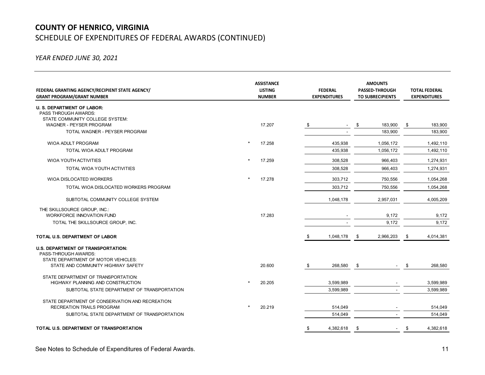| FEDERAL GRANTING AGENCY/RECIPIENT STATE AGENCY/<br><b>GRANT PROGRAM/GRANT NUMBER</b>                                                                                   | <b>ASSISTANCE</b><br><b>LISTING</b><br><b>NUMBER</b> | <b>FEDERAL</b><br><b>EXPENDITURES</b> |                      | <b>AMOUNTS</b><br><b>PASSED-THROUGH</b><br><b>TO SUBRECIPIENTS</b> |      | <b>TOTAL FEDERAL</b><br><b>EXPENDITURES</b> |
|------------------------------------------------------------------------------------------------------------------------------------------------------------------------|------------------------------------------------------|---------------------------------------|----------------------|--------------------------------------------------------------------|------|---------------------------------------------|
| <b>U. S. DEPARTMENT OF LABOR:</b><br><b>PASS THROUGH AWARDS:</b><br>STATE COMMUNITY COLLEGE SYSTEM:<br><b>WAGNER - PEYSER PROGRAM</b><br>TOTAL WAGNER - PEYSER PROGRAM | 17.207                                               | \$                                    | \$<br>$\blacksquare$ | 183,900<br>183.900                                                 | - \$ | 183.900<br>183.900                          |
| <b>WIOA ADULT PROGRAM</b><br>TOTAL WIOA ADULT PROGRAM                                                                                                                  | 17.258                                               | 435,938<br>435,938                    |                      | 1,056,172<br>1,056,172                                             |      | 1,492,110<br>1,492,110                      |
| <b>WIOA YOUTH ACTIVITIES</b><br>TOTAL WIOA YOUTH ACTIVITIES                                                                                                            | 17.259                                               | 308,528<br>308,528                    |                      | 966,403<br>966,403                                                 |      | 1,274,931<br>1,274,931                      |
| WIOA DISLOCATED WORKERS<br>TOTAL WIOA DISLOCATED WORKERS PROGRAM                                                                                                       | 17.278                                               | 303.712<br>303,712                    |                      | 750,556<br>750,556                                                 |      | 1.054.268<br>1,054,268                      |
| SUBTOTAL COMMUNITY COLLEGE SYSTEM<br>THE SKILLSOURCE GROUP, INC.:<br>WORKFORCE INNOVATION FUND<br>TOTAL THE SKILLSOURCE GROUP, INC.                                    | 17.283                                               | 1,048,178                             |                      | 2,957,031<br>9,172<br>9,172                                        |      | 4,005,209<br>9,172<br>9,172                 |
| TOTAL U.S. DEPARTMENT OF LABOR                                                                                                                                         |                                                      | 1,048,178<br>S.                       | \$                   | 2,966,203                                                          | \$   | 4,014,381                                   |
| <b>U.S. DEPARTMENT OF TRANSPORTATION:</b><br>PASS-THROUGH AWARDS:<br>STATE DEPARTMENT OF MOTOR VEHICLES:<br>STATE AND COMMUNITY HIGHWAY SAFETY                         | 20.600                                               | 268,580<br>\$                         | - \$                 |                                                                    | $-5$ | 268.580                                     |
| STATE DEPARTMENT OF TRANSPORTATION:<br><b>HIGHWAY PLANNING AND CONSTRUCTION</b><br>SUBTOTAL STATE DEPARTMENT OF TRANSPORTATION                                         | 20.205                                               | 3,599,989<br>3,599,989                |                      | $\blacksquare$                                                     |      | 3,599,989<br>3,599,989                      |
| STATE DEPARTMENT OF CONSERVATION AND RECREATION:<br>RECREATION TRAILS PROGRAM<br>SUBTOTAL STATE DEPARTMENT OF TRANSPORTATION                                           | 20.219                                               | 514,049<br>514.049                    |                      |                                                                    |      | 514,049<br>514.049                          |
| TOTAL U.S. DEPARTMENT OF TRANSPORTATION                                                                                                                                |                                                      | 4.382.618<br>\$                       | \$                   |                                                                    | \$   | 4,382,618                                   |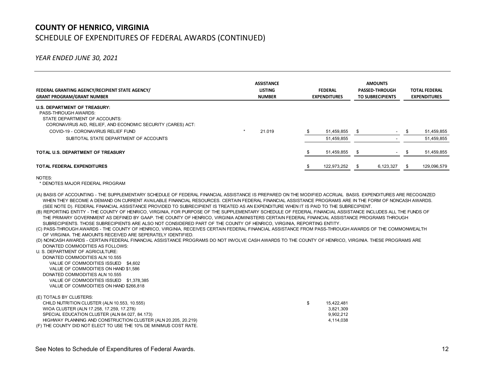### *YEAR ENDED JUNE 30, 2021*

| FEDERAL GRANTING AGENCY/RECIPIENT STATE AGENCY/<br><b>GRANT PROGRAM/GRANT NUMBER</b>                                                                                                                                                              | <b>ASSISTANCE</b><br><b>LISTING</b><br><b>FEDERAL</b><br><b>NUMBER</b><br><b>EXPENDITURES</b> |        | <b>AMOUNTS</b><br><b>PASSED-THROUGH</b><br><b>TO SUBRECIPIENTS</b> |                          |     |           | <b>TOTAL FEDERAL</b><br><b>EXPENDITURES</b> |                          |
|---------------------------------------------------------------------------------------------------------------------------------------------------------------------------------------------------------------------------------------------------|-----------------------------------------------------------------------------------------------|--------|--------------------------------------------------------------------|--------------------------|-----|-----------|---------------------------------------------|--------------------------|
| <b>U.S. DEPARTMENT OF TREASURY:</b><br><b>PASS-THROUGH AWARDS:</b><br>STATE DEPARTMENT OF ACCOUNTS:<br>CORONAVIRUS AID, RELIEF, AND ECONOMIC SECURITY (CARES) ACT:<br>COVID-19 - CORONAVIRUS RELIEF FUND<br>SUBTOTAL STATE DEPARTMENT OF ACCOUNTS |                                                                                               | 21.019 | \$.                                                                | 51,459,855<br>51,459,855 | S.  | $\sim$    | - \$                                        | 51,459,855<br>51,459,855 |
| TOTAL U.S. DEPARTMENT OF TREASURY                                                                                                                                                                                                                 |                                                                                               |        |                                                                    | 51,459,855               | \$  | $\sim$    |                                             | 51,459,855               |
| <b>TOTAL FEDERAL EXPENDITURES</b>                                                                                                                                                                                                                 |                                                                                               |        |                                                                    | 122,973,252              | \$. | 6,123,327 |                                             | 129,096,579              |

#### NOTES:

\* DENOTES MAJOR FEDERAL PROGRAM

(A) BASIS OF ACCOUNTING - THE SUPPLEMENTARY SCHEDULE OF FEDERAL FINANCIAL ASSISTANCE IS PREPARED ON THE MODIFIED ACCRUAL BASIS. EXPENDITURES ARE RECOGNIZED WHEN THEY BECOME A DEMAND ON CURRENT AVAILABLE FINANCIAL RESOURCES. CERTAIN FEDERAL FINANCIAL ASSISTANCE PROGRAMS ARE IN THE FORM OF NONCASH AWARDS. (SEE NOTE D). FEDERAL FINANCIAL ASSISTANCE PROVIDED TO SUBRECIPIENT IS TREATED AS AN EXPENDITURE WHEN IT IS PAID TO THE SUBRECIPIENT.

(B) REPORTING ENTITY - THE COUNTY OF HENRICO, VIRGINIA, FOR PURPOSE OF THE SUPPLEMENTARY SCHEDULE OF FEDERAL FINANCIAL ASSISTANCE INCLUDES ALL THE FUNDS OF THE PRIMARY GOVERNMENT AS DEFINED BY GAAP. THE COUNTY OF HENRICO, VIRGINIA ADMINISTERS CERTAIN FEDERAL FINANCIAL ASSISTANCE PROGRAMS THROUGH SUBRECIPIENTS. THOSE SUBRECIPIENTS ARE ALSO NOT CONSIDERED PART OF THE COUNTY OF HENRICO, VIRGINIA, REPORTING ENTITY.

(C) PASS-THROUGH AWARDS - THE COUNTY OF HENRICO, VIRGINIA, RECEIVES CERTAIN FEDERAL FINANCIAL ASSISTANCE FROM PASS-THROUGH AWARDS OF THE COMMONWEALTH OF VIRGINIA. THE AMOUNTS RECEIVED ARE SEPERATELY IDENTIFIED.

(D) NONCASH AWARDS - CERTAIN FEDERAL FINANCIAL ASSISTANCE PROGRAMS DO NOT INVOLVE CASH AWARDS TO THE COUNTY OF HENRICO, VIRGINIA. THESE PROGRAMS ARE DONATED COMMODITIES AS FOLLOWS:

U. S. DEPARTMENT OF AGRICULTURE:

DONATED COMMODITIES ALN 10.555 VALUE OF COMMODITIES ISSUED \$4,602 VALUE OF COMMODITIES ON HAND \$1,586 DONATED COMMODITIES ALN 10.555 VALUE OF COMMODITIES ISSUED \$1,378,385

VALUE OF COMMODITIES ON HAND \$266,818

| (E) TOTALS BY CLUSTERS:                                           |            |
|-------------------------------------------------------------------|------------|
| CHILD NUTRITION CLUSTER (ALN 10.553, 10.555)                      | 15,422,481 |
| WIOA CLUSTER (ALN 17.258, 17.259, 17.278)                         | 3.821.309  |
| SPECIAL EDUCATION CLUSTER (ALN 84.027, 84.173)                    | 9,902,212  |
| HIGHWAY PLANNING AND CONSTRUCTION CLUSTER (ALN 20.205, 20.219)    | 4.114.038  |
| (F) THE COUNTY DID NOT ELECT TO USE THE 10% DE MINIMUS COST RATE. |            |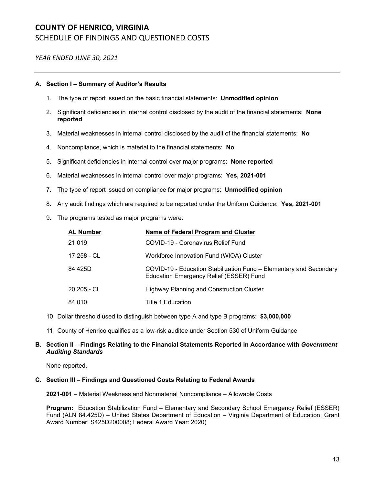### **COUNTY OF HENRICO, VIRGINIA** SCHEDULE OF FINDINGS AND QUESTIONED COSTS

### *YEAR ENDED JUNE 30, 2021*

### **A. Section I – Summary of Auditor's Results**

- 1. The type of report issued on the basic financial statements: **Unmodified opinion**
- 2. Significant deficiencies in internal control disclosed by the audit of the financial statements: **None reported**
- 3. Material weaknesses in internal control disclosed by the audit of the financial statements: **No**
- 4. Noncompliance, which is material to the financial statements: **No**
- 5. Significant deficiencies in internal control over major programs: **None reported**
- 6. Material weaknesses in internal control over major programs: **Yes, 2021-001**
- 7. The type of report issued on compliance for major programs: **Unmodified opinion**
- 8. Any audit findings which are required to be reported under the Uniform Guidance: **Yes, 2021-001**
- 9. The programs tested as major programs were:

| <b>AL Number</b> | <b>Name of Federal Program and Cluster</b>                                                                    |
|------------------|---------------------------------------------------------------------------------------------------------------|
| 21.019           | COVID-19 - Coronavirus Relief Fund                                                                            |
| 17.258 - CL      | Workforce Innovation Fund (WIOA) Cluster                                                                      |
| 84.425D          | COVID-19 - Education Stabilization Fund - Elementary and Secondary<br>Education Emergency Relief (ESSER) Fund |
| $20.205 - CL$    | <b>Highway Planning and Construction Cluster</b>                                                              |
| 84.010           | Title 1 Education                                                                                             |

- 10. Dollar threshold used to distinguish between type A and type B programs: **\$3,000,000**
- 11. County of Henrico qualifies as a low-risk auditee under Section 530 of Uniform Guidance

### **B. Section II – Findings Relating to the Financial Statements Reported in Accordance with** *Government Auditing Standards*

None reported.

### **C. Section III – Findings and Questioned Costs Relating to Federal Awards**

**2021-001** – Material Weakness and Nonmaterial Noncompliance – Allowable Costs

**Program:** Education Stabilization Fund – Elementary and Secondary School Emergency Relief (ESSER) Fund (ALN 84.425D) – United States Department of Education – Virginia Department of Education; Grant Award Number: S425D200008; Federal Award Year: 2020)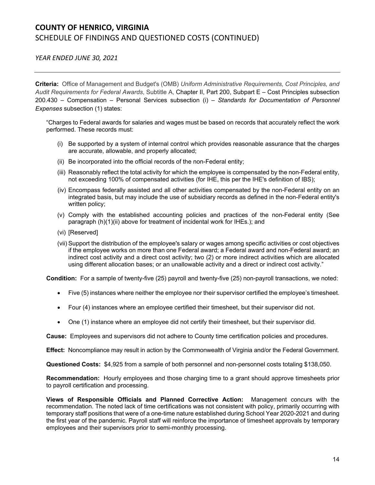## **COUNTY OF HENRICO, VIRGINIA** SCHEDULE OF FINDINGS AND QUESTIONED COSTS (CONTINUED)

### *YEAR ENDED JUNE 30, 2021*

**Criteria:** Office of Management and Budget's (OMB) *Uniform Administrative Requirements, Cost Principles, and Audit Requirements for Federal Awards*, Subtitle A, Chapter II, Part 200, Subpart E – Cost Principles subsection 200.430 – Compensation – Personal Services subsection (i) – *Standards for Documentation of Personnel Expenses* subsection (1) states:

"Charges to Federal awards for salaries and wages must be based on records that accurately reflect the work performed. These records must:

- (i) Be supported by a system of internal control which provides reasonable assurance that the charges are accurate, allowable, and properly allocated;
- (ii) Be incorporated into the official records of the non-Federal entity;
- (iii) Reasonably reflect the total activity for which the employee is compensated by the non-Federal entity, not exceeding 100% of compensated activities (for IHE, this per the IHE's definition of IBS);
- (iv) Encompass federally assisted and all other activities compensated by the non-Federal entity on an integrated basis, but may include the use of subsidiary records as defined in the non-Federal entity's written policy;
- (v) Comply with the established accounting policies and practices of the non-Federal entity (See paragraph (h)(1)(ii) above for treatment of incidental work for IHEs.); and
- (vi) [Reserved]
- (vii) Support the distribution of the employee's salary or wages among specific activities or cost objectives if the employee works on more than one Federal award; a Federal award and non-Federal award; an indirect cost activity and a direct cost activity; two (2) or more indirect activities which are allocated using different allocation bases; or an unallowable activity and a direct or indirect cost activity."

**Condition:** For a sample of twenty-five (25) payroll and twenty-five (25) non-payroll transactions, we noted:

- Five (5) instances where neither the employee nor their supervisor certified the employee's timesheet.
- Four (4) instances where an employee certified their timesheet, but their supervisor did not.
- One (1) instance where an employee did not certify their timesheet, but their supervisor did.

**Cause:** Employees and supervisors did not adhere to County time certification policies and procedures.

**Effect:** Noncompliance may result in action by the Commonwealth of Virginia and/or the Federal Government.

**Questioned Costs:** \$4,925 from a sample of both personnel and non-personnel costs totaling \$138,050.

**Recommendation:** Hourly employees and those charging time to a grant should approve timesheets prior to payroll certification and processing.

**Views of Responsible Officials and Planned Corrective Action:** Management concurs with the recommendation. The noted lack of time certifications was not consistent with policy, primarily occurring with temporary staff positions that were of a one-time nature established during School Year 2020-2021 and during the first year of the pandemic. Payroll staff will reinforce the importance of timesheet approvals by temporary employees and their supervisors prior to semi-monthly processing.